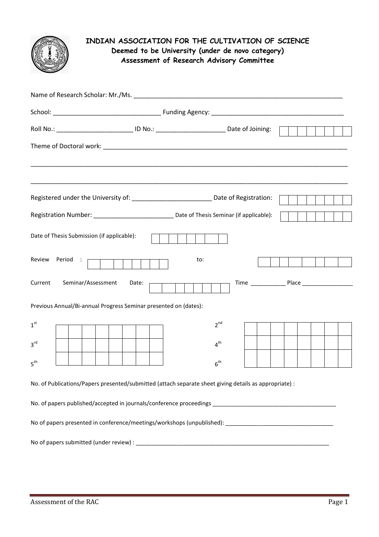

## **INDIAN ASSOCIATION FOR THE CULTIVATION OF SCIENCE Deemed to be University (under de novo category) Assessment of Research Advisory Committee**

| Name of Research Scholar: Mr./Ms. Name of Research Scholars and Scholars and Scholars and Scholars and Scholars |       |                 |  |  |
|-----------------------------------------------------------------------------------------------------------------|-------|-----------------|--|--|
|                                                                                                                 |       |                 |  |  |
| Roll No.: _______________________________ ID No.: ________________________________ Date of Joining:             |       |                 |  |  |
|                                                                                                                 |       |                 |  |  |
| Registered under the University of: _______________________________ Date of Registration:                       |       |                 |  |  |
|                                                                                                                 |       |                 |  |  |
| Date of Thesis Submission (if applicable):                                                                      |       |                 |  |  |
| Review Period :                                                                                                 | to:   |                 |  |  |
| Current<br>Seminar/Assessment                                                                                   | Date: |                 |  |  |
| Previous Annual/Bi-annual Progress Seminar presented on (dates):                                                |       |                 |  |  |
| 1 <sup>st</sup>                                                                                                 |       | $2^{nd}$        |  |  |
| 3 <sup>rd</sup>                                                                                                 |       | 4 <sup>th</sup> |  |  |
| 5 <sup>th</sup>                                                                                                 |       | 6 <sup>th</sup> |  |  |
| No. of Publications/Papers presented/submitted (attach separate sheet giving details as appropriate) :          |       |                 |  |  |
|                                                                                                                 |       |                 |  |  |
|                                                                                                                 |       |                 |  |  |
|                                                                                                                 |       |                 |  |  |